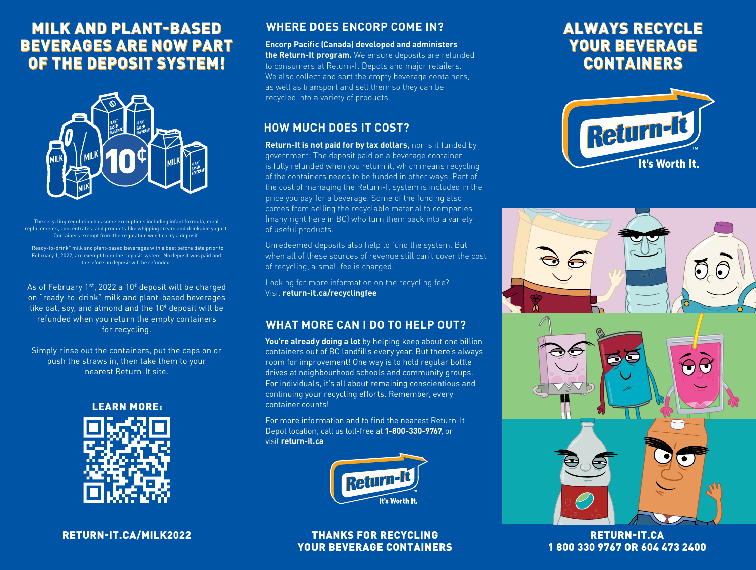# MILK AND PLANT-BASED MILK AND PLANT-BASED BEVERAGES ARE NOW PART BEVERAGES ARE NOW PART OF THE DEPOSIT SYSTEM!



The recycling regulation has some exemptions including infant formula, meal replacements, concentrates, and products like whipping cream and drinkable yogurt. Containers exempt from the regulation won't carry a deposit.

"Ready-to-drink" milk and plant-based beverages with a best before date prior to February 1, 2022, are exempt from the deposit system. No deposit was paid and therefore no deposit will be refunded.

As of February 1st, 2022 a 10¢ deposit will be charged on "ready-to-drink" milk and plant-based beverages like oat, soy, and almond and the  $10<sup>\epsilon</sup>$  deposit will be refunded when you return the empty containers for recycling.

Simply rinse out the containers, put the caps on or push the straws in, then take them to your nearest Return-It site.



RETURN-IT.CA/MILK2022

## **WHERE DOES ENCORP COME IN?**

**Encorp Pacific (Canada) developed and administers the Return-It program.** We ensure deposits are refunded to consumers at Return-It Depots and major retailers. We also collect and sort the empty beverage containers, as well as transport and sell them so they can be recycled into a variety of products.

## **HOW MUCH DOES IT COST?**

**Return-It is not paid for by tax dollars,** nor is it funded by government. The deposit paid on a beverage container is fully refunded when you return it, which means recycling of the containers needs to be funded in other ways. Part of the cost of managing the Return-It system is included in the price you pay for a beverage. Some of the funding also comes from selling the recyclable material to companies (many right here in BC) who turn them back into a variety of useful products.

Unredeemed deposits also help to fund the system. But when all of these sources of revenue still can't cover the cost of recycling, a small fee is charged.

Looking for more information on the recycling fee? Visit **return-it.ca/recyclingfee**

# **WHAT MORE CAN I DO TO HELP OUT?**

You're already doing a lot by helping keep about one billion containers out of BC landfills every year. But there's always room for improvement! One way is to hold regular bottle drives at neighbourhood schools and community groups. For individuals, it's all about remaining conscientious and continuing your recycling efforts. Remember, every container counts!

For more information and to find the nearest Return-It Depot location, call us toll-free at **1-800-330-9767**, or visit **return-it.ca**



### THANKS FOR RECYCLING YOUR BEVERAGE CONTAINERS

# ALWAYS RECYCLE ALWAYS RECYCLE YOUR BEVERAGE BEVERAGE CONTAINERS CONTAINERS





RETURN-IT.CA 1 800 330 9767 OR 604 473 2400